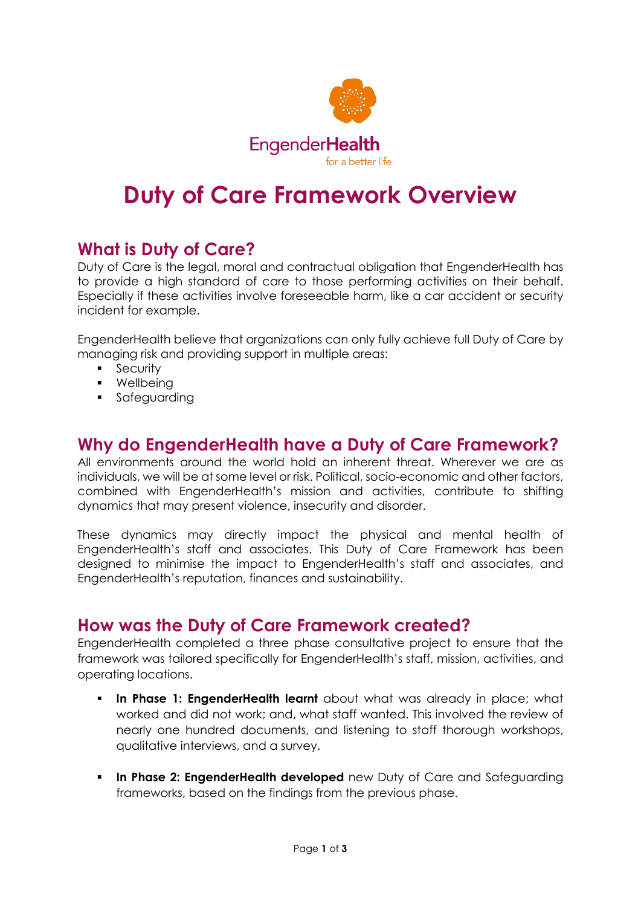

# **Duty of Care Framework Overview**

## **What is Duty of Care?**

Duty of Care is the legal, moral and contractual obligation that EngenderHealth has to provide a high standard of care to those performing activities on their behalf. Especially if these activities involve foreseeable harm, like a car accident or security incident for example.

EngenderHealth believe that organizations can only fully achieve full Duty of Care by managing risk and providing support in multiple areas:

- **Security**
- **•** Wellbeina
- **Safeauarding**

### **Why do EngenderHealth have a Duty of Care Framework?**

All environments around the world hold an inherent threat. Wherever we are as individuals, we will be at some level or risk. Political, socio-economic and other factors, combined with EngenderHealth's mission and activities, contribute to shifting dynamics that may present violence, insecurity and disorder.

These dynamics may directly impact the physical and mental health of EngenderHealth's staff and associates. This Duty of Care Framework has been designed to minimise the impact to EngenderHealth's staff and associates, and EngenderHealth's reputation, finances and sustainability.

#### **How was the Duty of Care Framework created?**

EngenderHealth completed a three phase consultative project to ensure that the framework was tailored specifically for EngenderHealth's staff, mission, activities, and operating locations.

- **In Phase 1: EngenderHealth learnt** about what was already in place; what worked and did not work; and, what staff wanted. This involved the review of nearly one hundred documents, and listening to staff thorough workshops, qualitative interviews, and a survey.
- **In Phase 2: EngenderHealth developed** new Duty of Care and Safeguarding frameworks, based on the findings from the previous phase.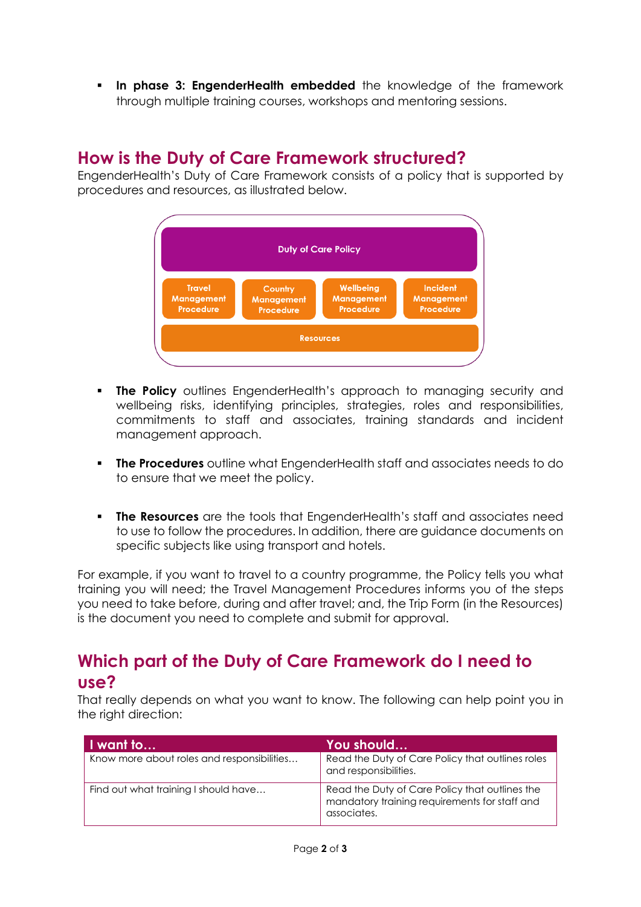**In phase 3: EngenderHealth embedded** the knowledge of the framework through multiple training courses, workshops and mentoring sessions.

## **How is the Duty of Care Framework structured?**

EngenderHealth's Duty of Care Framework consists of a policy that is supported by procedures and resources, as illustrated below.



- **The Policy** outlines EngenderHealth's approach to managing security and wellbeing risks, identifying principles, strategies, roles and responsibilities, commitments to staff and associates, training standards and incident management approach.
- **The Procedures** outline what EngenderHealth staff and associates needs to do to ensure that we meet the policy.
- **The Resources** are the tools that EngenderHealth's staff and associates need to use to follow the procedures. In addition, there are guidance documents on specific subjects like using transport and hotels.

For example, if you want to travel to a country programme, the Policy tells you what training you will need; the Travel Management Procedures informs you of the steps you need to take before, during and after travel; and, the Trip Form (in the Resources) is the document you need to complete and submit for approval.

# **Which part of the Duty of Care Framework do I need to use?**

That really depends on what you want to know. The following can help point you in the right direction:

| I want to                                  | You should                                                                                                     |
|--------------------------------------------|----------------------------------------------------------------------------------------------------------------|
| Know more about roles and responsibilities | Read the Duty of Care Policy that outlines roles<br>and responsibilities.                                      |
| Find out what training I should have       | Read the Duty of Care Policy that outlines the<br>mandatory training requirements for staff and<br>associates. |